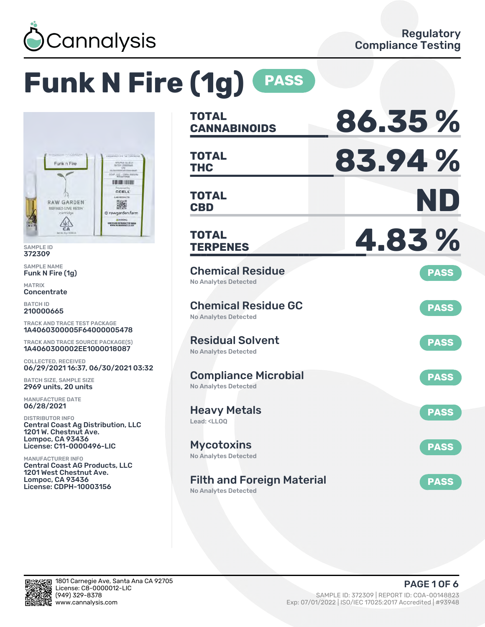

# **Funk N Fire (1g) PASS**



SAMPLE ID 372309

SAMPLE NAME Funk N Fire (1g)

MATRIX **Concentrate** 

BATCH ID 210000665

TRACK AND TRACE TEST PACKAGE 1A4060300005F64000005478

TRACK AND TRACE SOURCE PACKAGE(S) 1A4060300002EE1000018087

COLLECTED, RECEIVED 06/29/2021 16:37, 06/30/2021 03:32

BATCH SIZE, SAMPLE SIZE 2969 units, 20 units

MANUFACTURE DATE 06/28/2021

DISTRIBUTOR INFO Central Coast Ag Distribution, LLC 1201 W. Chestnut Ave. Lompoc, CA 93436 License: C11-0000496-LIC

MANUFACTURER INFO Central Coast AG Products, LLC 1201 West Chestnut Ave. Lompoc, CA 93436 License: CDPH-10003156

| <b>TOTAL</b><br><b>CANNABINOIDS</b>                                    | 86.35%      |
|------------------------------------------------------------------------|-------------|
| <b>TOTAL</b><br><b>THC</b>                                             | 83.94%      |
| <b>TOTAL</b><br><b>CBD</b>                                             | ND          |
| TOTAL<br><b>TERPENES</b>                                               | 4.83%       |
| <b>Chemical Residue</b><br><b>No Analytes Detected</b>                 | <b>PASS</b> |
| <b>Chemical Residue GC</b><br><b>No Analytes Detected</b>              | <b>PASS</b> |
| <b>Residual Solvent</b><br><b>No Analytes Detected</b>                 | <b>PASS</b> |
| <b>Compliance Microbial</b><br><b>No Analytes Detected</b>             | <b>PASS</b> |
| <b>Heavy Metals</b><br>Lead: <ll00< td=""><td><b>PASS</b></td></ll00<> | <b>PASS</b> |
| <b>Mycotoxins</b><br>No Analytes Detected                              | <b>PASS</b> |
| <b>Filth and Foreign Material</b><br>المستلم متلوح المستراط والمسار    | <b>PASS</b> |

No Analytes Detected

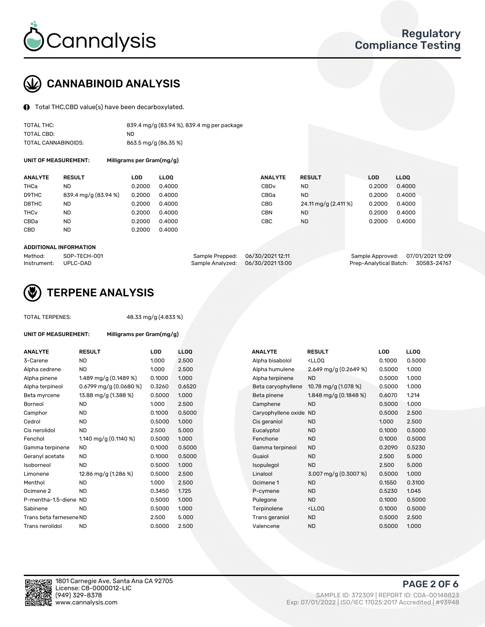

## CANNABINOID ANALYSIS

Total THC,CBD value(s) have been decarboxylated.

| TOTAL THC:          | 839.4 mg/g (83.94 %), 839.4 mg per package |
|---------------------|--------------------------------------------|
| TOTAL CBD:          | ND.                                        |
| TOTAL CANNABINOIDS: | 863.5 mg/g (86.35 %)                       |

UNIT OF MEASUREMENT: Milligrams per Gram(mg/g)

| <b>RESULT</b>        | LOD    | <b>LLOO</b> | <b>ANALYTE</b>   | <b>RESULT</b>        | LOD    | <b>LLOO</b> |
|----------------------|--------|-------------|------------------|----------------------|--------|-------------|
| ND                   | 0.2000 | 0.4000      | CBD <sub>v</sub> | <b>ND</b>            | 0.2000 | 0.4000      |
| 839.4 mg/g (83.94 %) | 0.2000 | 0.4000      | CBGa             | <b>ND</b>            | 0.2000 | 0.4000      |
| ND                   | 0.2000 | 0.4000      | CBG              | 24.11 mg/g (2.411 %) | 0.2000 | 0.4000      |
| ND                   | 0.2000 | 0.4000      | <b>CBN</b>       | ND.                  | 0.2000 | 0.4000      |
| <b>ND</b>            | 0.2000 | 0.4000      | CBC              | <b>ND</b>            | 0.2000 | 0.4000      |
| ND                   | 0.2000 | 0.4000      |                  |                      |        |             |
|                      |        |             |                  |                      |        |             |

#### ADDITIONAL INFORMATION

| Method:              | SOP-TECH-001 | Sample Prepped: 06/30/2021 12:11 | Sample Approved: 07/01/2021 12:09  |  |
|----------------------|--------------|----------------------------------|------------------------------------|--|
| Instrument: UPLC-DAD |              | Sample Analyzed: 06/30/202113:00 | Prep-Analytical Batch: 30583-24767 |  |



## TERPENE ANALYSIS

| <b>TOTAL TERPENES:</b>      |                           | 48.33 mg/g (4.833 %) |             |                     |                                                    |            |       |
|-----------------------------|---------------------------|----------------------|-------------|---------------------|----------------------------------------------------|------------|-------|
| <b>UNIT OF MEASUREMENT:</b> | Milligrams per Gram(mg/g) |                      |             |                     |                                                    |            |       |
| <b>ANALYTE</b>              | <b>RESULT</b>             | <b>LOD</b>           | <b>LLOO</b> | <b>ANALYTE</b>      | <b>RESULT</b>                                      | <b>LOD</b> | LLOQ  |
| 3-Carene                    | <b>ND</b>                 | 1.000                | 2.500       | Alpha bisabolol     | <ll0q< td=""><td>0.1000</td><td>0.50(</td></ll0q<> | 0.1000     | 0.50( |
| Alpha cedrene               | <b>ND</b>                 | 1.000                | 2.500       | Alpha humulene      | 2.649 mg/g (0.2649 %)                              | 0.5000     | 1.000 |
| Alpha pinene                | 1.489 mg/g (0.1489 %)     | 0.1000               | 1.000       | Alpha terpinene     | <b>ND</b>                                          | 0.5000     | 1.000 |
| Alpha terpineol             | $0.6799$ mg/g (0.0680 %)  | 0.3260               | 0.6520      | Beta caryophyllene  | 10.78 mg/g (1.078 %)                               | 0.5000     | 1.000 |
| Beta myrcene                | 13.88 mg/g (1.388 %)      | 0.5000               | 1.000       | Beta pinene         | 1.848 mg/g $(0.1848\%)$                            | 0.6070     | 1.214 |
| <b>Borneol</b>              | <b>ND</b>                 | 1.000                | 2.500       | Camphene            | <b>ND</b>                                          | 0.5000     | 1.000 |
| Camphor                     | <b>ND</b>                 | 0.1000               | 0.5000      | Caryophyllene oxide | <b>ND</b>                                          | 0.5000     | 2.500 |
| Cedrol                      | ND.                       | 0.5000               | 1.000       | Cis geraniol        | <b>ND</b>                                          | 1.000      | 2.500 |
| Cis nerolidol               | <b>ND</b>                 | 2.500                | 5.000       | Eucalyptol          | <b>ND</b>                                          | 0.1000     | 0.50( |
| Fenchol                     | 1.140 mg/g $(0.1140 \%)$  | 0.5000               | 1.000       | Fenchone            | <b>ND</b>                                          | 0.1000     | 0.50( |
| Gamma terpinene             | ND.                       | 0.1000               | 0.5000      | Gamma terpineol     | <b>ND</b>                                          | 0.2090     | 0.523 |
| Geranyl acetate             | ND.                       | 0.1000               | 0.5000      | Guaiol              | <b>ND</b>                                          | 2.500      | 5.000 |
| Isoborneol                  | <b>ND</b>                 | 0.5000               | 1.000       | Isopulegol          | <b>ND</b>                                          | 2.500      | 5.000 |
| Limonene                    | 12.86 mg/g (1.286 %)      | 0.5000               | 2.500       | Linalool            | 3.007 mg/g (0.3007 %)                              | 0.5000     | 1.00C |
| Menthol                     | <b>ND</b>                 | 1.000                | 2.500       | Ocimene 1           | <b>ND</b>                                          | 0.1550     | 0.310 |
| Ocimene <sub>2</sub>        | <b>ND</b>                 | 0.3450               | 1.725       | P-cymene            | <b>ND</b>                                          | 0.5230     | 1.045 |
| P-mentha-1,5-diene ND       |                           | 0.5000               | 1.000       | Pulegone            | <b>ND</b>                                          | 0.1000     | 0.50( |
| Sabinene                    | <b>ND</b>                 | 0.5000               | 1.000       | Terpinolene         | <lloq< td=""><td>0.1000</td><td>0.50(</td></lloq<> | 0.1000     | 0.50( |
| Trans beta farnesene ND     |                           | 2.500                | 5.000       | Trans geraniol      | <b>ND</b>                                          | 0.5000     | 2.500 |
| Trans nerolidol             | <b>ND</b>                 | 0.5000               | 2.500       | Valencene           | <b>ND</b>                                          | 0.5000     | 1.00C |

| ANALYTE                 | <b>RESULT</b>            | <b>LOD</b> | <b>LLOQ</b> | ANALYTE             | <b>RESULT</b>                                       | LOD    | <b>LLOQ</b> |
|-------------------------|--------------------------|------------|-------------|---------------------|-----------------------------------------------------|--------|-------------|
| 3-Carene                | <b>ND</b>                | 1.000      | 2.500       | Alpha bisabolol     | <ll0q< td=""><td>0.1000</td><td>0.5000</td></ll0q<> | 0.1000 | 0.5000      |
| Alpha cedrene           | <b>ND</b>                | 1.000      | 2.500       | Alpha humulene      | 2.649 mg/g $(0.2649\%)$                             | 0.5000 | 1.000       |
| Alpha pinene            | 1.489 mg/g $(0.1489%)$   | 0.1000     | 1.000       | Alpha terpinene     | <b>ND</b>                                           | 0.5000 | 1.000       |
| Alpha terpineol         | $0.6799$ mg/g (0.0680 %) | 0.3260     | 0.6520      | Beta caryophyllene  | 10.78 mg/g (1.078 %)                                | 0.5000 | 1.000       |
| Beta myrcene            | 13.88 mg/g (1.388 %)     | 0.5000     | 1.000       | Beta pinene         | 1.848 mg/g $(0.1848%)$                              | 0.6070 | 1.214       |
| Borneol                 | <b>ND</b>                | 1.000      | 2.500       | Camphene            | <b>ND</b>                                           | 0.5000 | 1.000       |
| Camphor                 | ND                       | 0.1000     | 0.5000      | Caryophyllene oxide | <b>ND</b>                                           | 0.5000 | 2.500       |
| Cedrol                  | <b>ND</b>                | 0.5000     | 1.000       | Cis geraniol        | <b>ND</b>                                           | 1.000  | 2.500       |
| Cis nerolidol           | <b>ND</b>                | 2.500      | 5.000       | Eucalyptol          | <b>ND</b>                                           | 0.1000 | 0.5000      |
| Fenchol                 | 1.140 mg/g (0.1140 %)    | 0.5000     | 1.000       | Fenchone            | <b>ND</b>                                           | 0.1000 | 0.5000      |
| Gamma terpinene         | <b>ND</b>                | 0.1000     | 0.5000      | Gamma terpineol     | <b>ND</b>                                           | 0.2090 | 0.5230      |
| Geranyl acetate         | ND.                      | 0.1000     | 0.5000      | Guaiol              | <b>ND</b>                                           | 2.500  | 5.000       |
| Isoborneol              | <b>ND</b>                | 0.5000     | 1.000       | Isopulegol          | <b>ND</b>                                           | 2.500  | 5.000       |
| Limonene                | 12.86 mg/g (1.286 %)     | 0.5000     | 2.500       | Linalool            | $3.007 \,\mathrm{mg/g}$ (0.3007 %)                  | 0.5000 | 1.000       |
| Menthol                 | <b>ND</b>                | 1.000      | 2.500       | Ocimene 1           | <b>ND</b>                                           | 0.1550 | 0.3100      |
| Ocimene 2               | <b>ND</b>                | 0.3450     | 1.725       | P-cymene            | <b>ND</b>                                           | 0.5230 | 1.045       |
| P-mentha-1,5-diene ND   |                          | 0.5000     | 1.000       | Pulegone            | <b>ND</b>                                           | 0.1000 | 0.5000      |
| Sabinene                | <b>ND</b>                | 0.5000     | 1.000       | Terpinolene         | <ll0q< td=""><td>0.1000</td><td>0.5000</td></ll0q<> | 0.1000 | 0.5000      |
| Trans beta farnesene ND |                          | 2.500      | 5.000       | Trans geraniol      | <b>ND</b>                                           | 0.5000 | 2.500       |
| Trans nerolidol         | <b>ND</b>                | 0.5000     | 2.500       | Valencene           | <b>ND</b>                                           | 0.5000 | 1.000       |
|                         |                          |            |             |                     |                                                     |        |             |

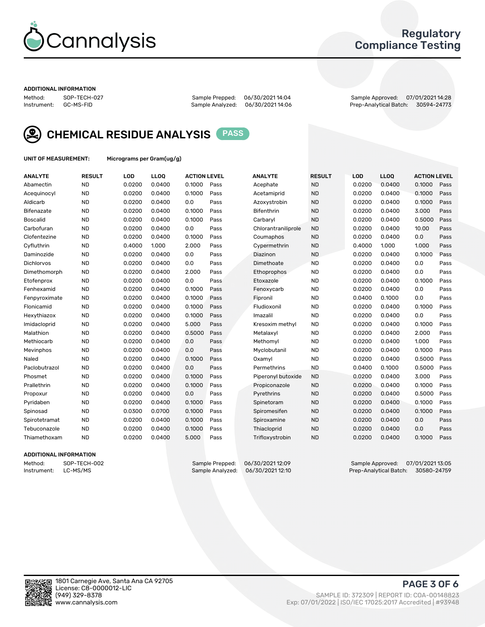

## Regulatory Compliance Testing

#### ADDITIONAL INFORMATION

Method: SOP-TECH-027 Sample Prepped: 06/30/2021 14:04 Sample Approved: 07/01/2021 14:28 Prep-Analytical Batch: 30594-24773



CHEMICAL RESIDUE ANALYSIS PASS

UNIT OF MEASUREMENT: Micrograms per Gram(ug/g)

| <b>ANALYTE</b>  | <b>RESULT</b> | LOD    | LLOQ   | <b>ACTION LEVEL</b> |      | <b>ANALYTE</b>      | <b>RESULT</b> | <b>LOD</b> | <b>LLOQ</b> | <b>ACTION LEVEL</b> |      |
|-----------------|---------------|--------|--------|---------------------|------|---------------------|---------------|------------|-------------|---------------------|------|
| Abamectin       | <b>ND</b>     | 0.0200 | 0.0400 | 0.1000              | Pass | Acephate            | <b>ND</b>     | 0.0200     | 0.0400      | 0.1000              | Pass |
| Acequinocyl     | <b>ND</b>     | 0.0200 | 0.0400 | 0.1000              | Pass | Acetamiprid         | <b>ND</b>     | 0.0200     | 0.0400      | 0.1000              | Pass |
| Aldicarb        | <b>ND</b>     | 0.0200 | 0.0400 | 0.0                 | Pass | Azoxystrobin        | <b>ND</b>     | 0.0200     | 0.0400      | 0.1000              | Pass |
| Bifenazate      | <b>ND</b>     | 0.0200 | 0.0400 | 0.1000              | Pass | Bifenthrin          | <b>ND</b>     | 0.0200     | 0.0400      | 3.000               | Pass |
| <b>Boscalid</b> | <b>ND</b>     | 0.0200 | 0.0400 | 0.1000              | Pass | Carbaryl            | <b>ND</b>     | 0.0200     | 0.0400      | 0.5000              | Pass |
| Carbofuran      | <b>ND</b>     | 0.0200 | 0.0400 | 0.0                 | Pass | Chlorantraniliprole | <b>ND</b>     | 0.0200     | 0.0400      | 10.00               | Pass |
| Clofentezine    | <b>ND</b>     | 0.0200 | 0.0400 | 0.1000              | Pass | Coumaphos           | <b>ND</b>     | 0.0200     | 0.0400      | 0.0                 | Pass |
| Cyfluthrin      | <b>ND</b>     | 0.4000 | 1.000  | 2.000               | Pass | Cypermethrin        | <b>ND</b>     | 0.4000     | 1.000       | 1.000               | Pass |
| Daminozide      | <b>ND</b>     | 0.0200 | 0.0400 | 0.0                 | Pass | Diazinon            | <b>ND</b>     | 0.0200     | 0.0400      | 0.1000              | Pass |
| Dichlorvos      | <b>ND</b>     | 0.0200 | 0.0400 | 0.0                 | Pass | Dimethoate          | <b>ND</b>     | 0.0200     | 0.0400      | 0.0                 | Pass |
| Dimethomorph    | <b>ND</b>     | 0.0200 | 0.0400 | 2.000               | Pass | Ethoprophos         | <b>ND</b>     | 0.0200     | 0.0400      | 0.0                 | Pass |
| Etofenprox      | <b>ND</b>     | 0.0200 | 0.0400 | 0.0                 | Pass | Etoxazole           | <b>ND</b>     | 0.0200     | 0.0400      | 0.1000              | Pass |
| Fenhexamid      | <b>ND</b>     | 0.0200 | 0.0400 | 0.1000              | Pass | Fenoxycarb          | <b>ND</b>     | 0.0200     | 0.0400      | 0.0                 | Pass |
| Fenpyroximate   | <b>ND</b>     | 0.0200 | 0.0400 | 0.1000              | Pass | Fipronil            | <b>ND</b>     | 0.0400     | 0.1000      | 0.0                 | Pass |
| Flonicamid      | <b>ND</b>     | 0.0200 | 0.0400 | 0.1000              | Pass | Fludioxonil         | <b>ND</b>     | 0.0200     | 0.0400      | 0.1000              | Pass |
| Hexythiazox     | <b>ND</b>     | 0.0200 | 0.0400 | 0.1000              | Pass | Imazalil            | <b>ND</b>     | 0.0200     | 0.0400      | 0.0                 | Pass |
| Imidacloprid    | <b>ND</b>     | 0.0200 | 0.0400 | 5.000               | Pass | Kresoxim methyl     | <b>ND</b>     | 0.0200     | 0.0400      | 0.1000              | Pass |
| Malathion       | <b>ND</b>     | 0.0200 | 0.0400 | 0.5000              | Pass | Metalaxyl           | <b>ND</b>     | 0.0200     | 0.0400      | 2.000               | Pass |
| Methiocarb      | <b>ND</b>     | 0.0200 | 0.0400 | 0.0                 | Pass | Methomyl            | <b>ND</b>     | 0.0200     | 0.0400      | 1.000               | Pass |
| Mevinphos       | <b>ND</b>     | 0.0200 | 0.0400 | 0.0                 | Pass | Myclobutanil        | <b>ND</b>     | 0.0200     | 0.0400      | 0.1000              | Pass |
| Naled           | <b>ND</b>     | 0.0200 | 0.0400 | 0.1000              | Pass | Oxamyl              | <b>ND</b>     | 0.0200     | 0.0400      | 0.5000              | Pass |
| Paclobutrazol   | <b>ND</b>     | 0.0200 | 0.0400 | 0.0                 | Pass | Permethrins         | <b>ND</b>     | 0.0400     | 0.1000      | 0.5000              | Pass |
| Phosmet         | <b>ND</b>     | 0.0200 | 0.0400 | 0.1000              | Pass | Piperonyl butoxide  | <b>ND</b>     | 0.0200     | 0.0400      | 3.000               | Pass |
| Prallethrin     | <b>ND</b>     | 0.0200 | 0.0400 | 0.1000              | Pass | Propiconazole       | <b>ND</b>     | 0.0200     | 0.0400      | 0.1000              | Pass |
| Propoxur        | <b>ND</b>     | 0.0200 | 0.0400 | 0.0                 | Pass | Pyrethrins          | <b>ND</b>     | 0.0200     | 0.0400      | 0.5000              | Pass |
| Pyridaben       | <b>ND</b>     | 0.0200 | 0.0400 | 0.1000              | Pass | Spinetoram          | <b>ND</b>     | 0.0200     | 0.0400      | 0.1000              | Pass |
| Spinosad        | <b>ND</b>     | 0.0300 | 0.0700 | 0.1000              | Pass | Spiromesifen        | <b>ND</b>     | 0.0200     | 0.0400      | 0.1000              | Pass |
| Spirotetramat   | <b>ND</b>     | 0.0200 | 0.0400 | 0.1000              | Pass | Spiroxamine         | <b>ND</b>     | 0.0200     | 0.0400      | 0.0                 | Pass |
| Tebuconazole    | <b>ND</b>     | 0.0200 | 0.0400 | 0.1000              | Pass | Thiacloprid         | <b>ND</b>     | 0.0200     | 0.0400      | 0.0                 | Pass |
| Thiamethoxam    | <b>ND</b>     | 0.0200 | 0.0400 | 5.000               | Pass | Trifloxystrobin     | <b>ND</b>     | 0.0200     | 0.0400      | 0.1000              | Pass |

#### ADDITIONAL INFORMATION

Method: SOP-TECH-002 Sample Prepped: 06/30/2021 12:09 Sample Approved: 07/01/2021 13:05 Prep-Analytical Batch: 30580-24759

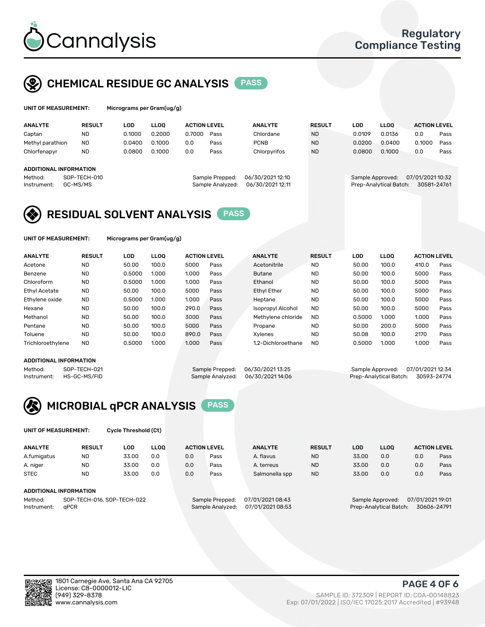

## CHEMICAL RESIDUE GC ANALYSIS PASS

|  |  | UNIT OF MEASUREMENT: | м |
|--|--|----------------------|---|
|--|--|----------------------|---|

icrograms per Gram(ug/g)

| <b>ANALYTE</b>         | <b>RESULT</b> | LOD    | <b>LLOO</b> | <b>ACTION LEVEL</b> |                  | <b>ANALYTE</b>   | <b>RESULT</b> | LOD              | <b>LLOO</b>            | <b>ACTION LEVEL</b> |      |
|------------------------|---------------|--------|-------------|---------------------|------------------|------------------|---------------|------------------|------------------------|---------------------|------|
| Captan                 | <b>ND</b>     | 0.1000 | 0.2000      | 0.7000              | Pass             | Chlordane        | <b>ND</b>     | 0.0109           | 0.0136                 | 0.0                 | Pass |
| Methyl parathion       | <b>ND</b>     | 0.0400 | 0.1000      | 0.0                 | Pass             | <b>PCNB</b>      | <b>ND</b>     | 0.0200           | 0.0400                 | 0.1000              | Pass |
| Chlorfenapyr           | <b>ND</b>     | 0.0800 | 0.1000      | 0.0                 | Pass             | Chlorpyrifos     | <b>ND</b>     | 0.0800           | 0.1000                 | 0.0                 | Pass |
|                        |               |        |             |                     |                  |                  |               |                  |                        |                     |      |
| ADDITIONAL INFORMATION |               |        |             |                     |                  |                  |               |                  |                        |                     |      |
| Method:                | SOP-TECH-010  |        |             |                     | Sample Prepped:  | 06/30/202112:10  |               | Sample Approved: |                        | 07/01/2021 10:32    |      |
| Instrument:            | GC-MS/MS      |        |             |                     | Sample Analyzed: | 06/30/2021 12:11 |               |                  | Prep-Analytical Batch: | 30581-24761         |      |
|                        |               |        |             |                     |                  |                  |               |                  |                        |                     |      |

## RESIDUAL SOLVENT ANALYSIS PASS

UNIT OF MEASUREMENT: Micrograms per Gram(ug/g)

| <b>ANALYTE</b>       | <b>RESULT</b> | LOD    | <b>LLOO</b> | <b>ACTION LEVEL</b> |      | <b>ANALYTE</b>           | <b>RESULT</b> | LOD    | <b>LLOO</b> | <b>ACTION LEVEL</b> |      |
|----------------------|---------------|--------|-------------|---------------------|------|--------------------------|---------------|--------|-------------|---------------------|------|
| Acetone              | <b>ND</b>     | 50.00  | 100.0       | 5000                | Pass | Acetonitrile             | <b>ND</b>     | 50.00  | 100.0       | 410.0               | Pass |
| Benzene              | <b>ND</b>     | 0.5000 | 1.000       | 1.000               | Pass | <b>Butane</b>            | <b>ND</b>     | 50.00  | 100.0       | 5000                | Pass |
| Chloroform           | <b>ND</b>     | 0.5000 | 1.000       | 1.000               | Pass | Ethanol                  | <b>ND</b>     | 50.00  | 100.0       | 5000                | Pass |
| <b>Ethyl Acetate</b> | <b>ND</b>     | 50.00  | 100.0       | 5000                | Pass | <b>Ethyl Ether</b>       | <b>ND</b>     | 50.00  | 100.0       | 5000                | Pass |
| Ethylene oxide       | <b>ND</b>     | 0.5000 | 1.000       | 1.000               | Pass | Heptane                  | <b>ND</b>     | 50.00  | 100.0       | 5000                | Pass |
| Hexane               | <b>ND</b>     | 50.00  | 100.0       | 290.0               | Pass | <b>Isopropyl Alcohol</b> | <b>ND</b>     | 50.00  | 100.0       | 5000                | Pass |
| Methanol             | <b>ND</b>     | 50.00  | 100.0       | 3000                | Pass | Methylene chloride       | <b>ND</b>     | 0.5000 | 1.000       | 1.000               | Pass |
| Pentane              | <b>ND</b>     | 50.00  | 100.0       | 5000                | Pass | Propane                  | <b>ND</b>     | 50.00  | 200.0       | 5000                | Pass |
| Toluene              | <b>ND</b>     | 50.00  | 100.0       | 890.0               | Pass | Xvlenes                  | <b>ND</b>     | 50.08  | 100.0       | 2170                | Pass |
| Trichloroethylene    | <b>ND</b>     | 0.5000 | 1.000       | 1.000               | Pass | 1.2-Dichloroethane       | <b>ND</b>     | 0.5000 | 1.000       | 1.000               | Pass |

#### ADDITIONAL INFORMATION

Method: SOP-TECH-021 Sample Prepped: 06/30/202113:25 Sample Approved: 07/01/2021 12:34<br>Sample Analyzed: 06/30/2021 14:06 Prep-Analytical Batch: 30593-24774 Prep-Analytical Batch: 30593-24774



UNIT OF MEASUREMENT: Cycle Threshold (Ct)

| <b>ANALYTE</b>                | <b>RESULT</b>              | LOD   | <b>LLOO</b> |     | <b>ACTION LEVEL</b> | <b>ANALYTE</b>   | <b>RESULT</b> | LOD   | <b>LLOO</b>      |                  | <b>ACTION LEVEL</b> |
|-------------------------------|----------------------------|-------|-------------|-----|---------------------|------------------|---------------|-------|------------------|------------------|---------------------|
| A.fumigatus                   | <b>ND</b>                  | 33.00 | 0.0         | 0.0 | Pass                | A. flavus        | <b>ND</b>     | 33.00 | 0.0              | 0.0              | Pass                |
| A. niger                      | <b>ND</b>                  | 33.00 | 0.0         | 0.0 | Pass                | A. terreus       | <b>ND</b>     | 33.00 | 0.0              | 0.0              | Pass                |
| <b>STEC</b>                   | <b>ND</b>                  | 33.00 | 0.0         | 0.0 | Pass                | Salmonella spp   | <b>ND</b>     | 33.00 | 0.0              | 0.0              | Pass                |
| <b>ADDITIONAL INFORMATION</b> |                            |       |             |     |                     |                  |               |       |                  |                  |                     |
| Method:                       | SOP-TECH-016, SOP-TECH-022 |       |             |     | Sample Prepped:     | 07/01/2021 08:43 |               |       | Sample Approved: | 07/01/2021 19:01 |                     |

Instrument: qPCR Sample Analyzed: 07/01/2021 08:53 Prep-Analytical Batch: 30606-24791

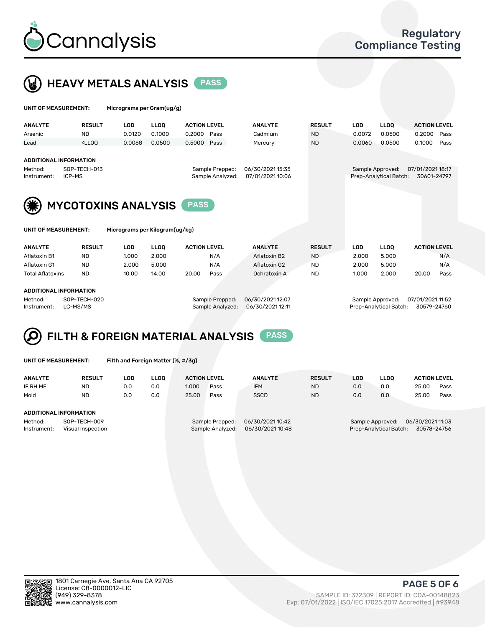



| UNIT OF MEASUREMENT:          |                                                                                                                                                                             | Micrograms per Gram(ug/g)      |             |                     |                  |                  |               |            |                        |                     |      |
|-------------------------------|-----------------------------------------------------------------------------------------------------------------------------------------------------------------------------|--------------------------------|-------------|---------------------|------------------|------------------|---------------|------------|------------------------|---------------------|------|
| <b>ANALYTE</b>                | <b>RESULT</b>                                                                                                                                                               | <b>LOD</b>                     | <b>LLOO</b> | <b>ACTION LEVEL</b> |                  | <b>ANALYTE</b>   | <b>RESULT</b> | <b>LOD</b> | LLOO <sup>1</sup>      | <b>ACTION LEVEL</b> |      |
| Arsenic                       | <b>ND</b>                                                                                                                                                                   | 0.0120                         | 0.1000      | 0.2000              | Pass             | Cadmium          | <b>ND</b>     | 0.0072     | 0.0500                 | 0.2000              | Pass |
| Lead                          | <lloo< td=""><td>0.0068</td><td>0.0500</td><td>0.5000</td><td>Pass</td><td>Mercury</td><td><b>ND</b></td><td>0.0060</td><td>0.0500</td><td>0.1000</td><td>Pass</td></lloo<> | 0.0068                         | 0.0500      | 0.5000              | Pass             | Mercury          | <b>ND</b>     | 0.0060     | 0.0500                 | 0.1000              | Pass |
|                               |                                                                                                                                                                             |                                |             |                     |                  |                  |               |            |                        |                     |      |
| <b>ADDITIONAL INFORMATION</b> |                                                                                                                                                                             |                                |             |                     |                  |                  |               |            |                        |                     |      |
| Method:                       | SOP-TECH-013                                                                                                                                                                |                                |             |                     | Sample Prepped:  | 06/30/202115:35  |               |            | Sample Approved:       | 07/01/2021 18:17    |      |
| Instrument:                   | ICP-MS                                                                                                                                                                      |                                |             |                     | Sample Analyzed: | 07/01/2021 10:06 |               |            | Prep-Analytical Batch: | 30601-24797         |      |
|                               |                                                                                                                                                                             |                                |             |                     |                  |                  |               |            |                        |                     |      |
|                               |                                                                                                                                                                             | <b>MYCOTOXINS ANALYSIS</b>     |             | <b>PASS</b>         |                  |                  |               |            |                        |                     |      |
|                               |                                                                                                                                                                             |                                |             |                     |                  |                  |               |            |                        |                     |      |
| UNIT OF MEASUREMENT:          |                                                                                                                                                                             | Micrograms per Kilogram(ug/kg) |             |                     |                  |                  |               |            |                        |                     |      |
| <b>ANALYTE</b>                | <b>RESULT</b>                                                                                                                                                               | <b>LOD</b>                     | <b>LLOO</b> | <b>ACTION LEVEL</b> |                  | <b>ANALYTE</b>   | <b>RESULT</b> | <b>LOD</b> | <b>LLOO</b>            | <b>ACTION LEVEL</b> |      |
| Aflatoxin B1                  | <b>ND</b>                                                                                                                                                                   | 1.000                          | 2.000       |                     | N/A              | Aflatoxin B2     | <b>ND</b>     | 2.000      | 5.000                  |                     | N/A  |

Aflatoxin G1 ND 2.000 5.000 N/A Aflatoxin G2 ND 2.000 5.000 N/A Total Aflatoxins ND 10.00 14.00 20.00 Pass Ochratoxin A ND 1.000 2.000 20.00 Pass

#### ADDITIONAL INFORMATION

Method: SOP-TECH-020 Sample Prepped: 06/30/2021 12:07 Sample Approved: 07/01/2021 11:52 Instrument: LC-MS/MS Sample Analyzed: 06/30/2021 12:11 Prep-Analytical Batch: 30579-24760

# FILTH & FOREIGN MATERIAL ANALYSIS PASS

UNIT OF MEASUREMENT: Filth and Foreign Matter (%, #/3g)

| <b>ANALYTE</b>                                              | <b>RESULT</b> | LOD. | <b>LLOO</b> | <b>ACTION LEVEL</b>                 |      | <b>ANALYTE</b>                      | <b>RESULT</b> | LOD | <b>LLOO</b>                                                                  | <b>ACTION LEVEL</b> |      |  |
|-------------------------------------------------------------|---------------|------|-------------|-------------------------------------|------|-------------------------------------|---------------|-----|------------------------------------------------------------------------------|---------------------|------|--|
| IF RH ME                                                    | <b>ND</b>     | 0.0  | 0.0         | 1.000                               | Pass | <b>IFM</b>                          | <b>ND</b>     | 0.0 | 0.0                                                                          | 25.00               | Pass |  |
| Mold                                                        | <b>ND</b>     | 0.0  | 0.0         | 25.00                               | Pass | <b>SSCD</b>                         | <b>ND</b>     | 0.0 | 0.0                                                                          | 25.00               | Pass |  |
| ADDITIONAL INFORMATION                                      |               |      |             |                                     |      |                                     |               |     |                                                                              |                     |      |  |
| Method:<br>SOP-TECH-009<br>Instrument:<br>Visual Inspection |               |      |             | Sample Prepped:<br>Sample Analyzed: |      | 06/30/2021 10:42<br>06/30/202110:48 |               |     | 06/30/202111:03<br>Sample Approved:<br>30578-24756<br>Prep-Analytical Batch: |                     |      |  |